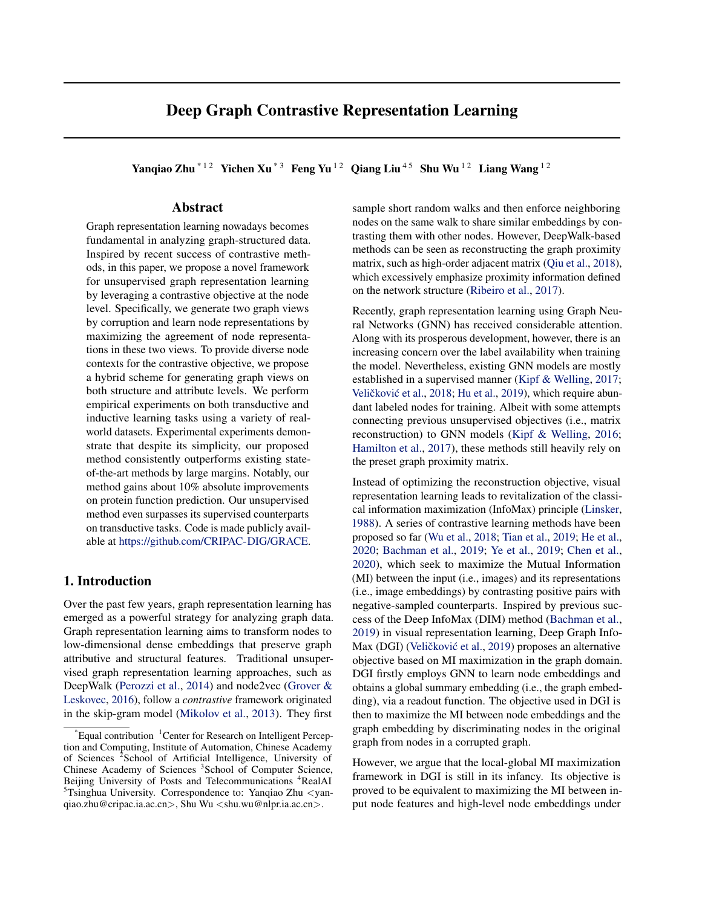# Deep Graph Contrastive Representation Learning

Yanqiao Zhu<sup>\*12</sup> Yichen Xu<sup>\*3</sup> Feng Yu<sup>12</sup> Qiang Liu<sup>45</sup> Shu Wu<sup>12</sup> Liang Wang<sup>12</sup>

### Abstract

Graph representation learning nowadays becomes fundamental in analyzing graph-structured data. Inspired by recent success of contrastive methods, in this paper, we propose a novel framework for unsupervised graph representation learning by leveraging a contrastive objective at the node level. Specifically, we generate two graph views by corruption and learn node representations by maximizing the agreement of node representations in these two views. To provide diverse node contexts for the contrastive objective, we propose a hybrid scheme for generating graph views on both structure and attribute levels. We perform empirical experiments on both transductive and inductive learning tasks using a variety of realworld datasets. Experimental experiments demonstrate that despite its simplicity, our proposed method consistently outperforms existing stateof-the-art methods by large margins. Notably, our method gains about 10% absolute improvements on protein function prediction. Our unsupervised method even surpasses its supervised counterparts on transductive tasks. Code is made publicly available at [https://github.com/CRIPAC-DIG/GRACE.](https://github.com/CRIPAC-DIG/GRACE)

# 1. Introduction

Over the past few years, graph representation learning has emerged as a powerful strategy for analyzing graph data. Graph representation learning aims to transform nodes to low-dimensional dense embeddings that preserve graph attributive and structural features. Traditional unsupervised graph representation learning approaches, such as DeepWalk [\(Perozzi et al.,](#page-8-0) [2014\)](#page-8-0) and node2vec [\(Grover &](#page-8-0) [Leskovec,](#page-8-0) [2016\)](#page-8-0), follow a *contrastive* framework originated in the skip-gram model [\(Mikolov et al.,](#page-8-0) [2013\)](#page-8-0). They first

sample short random walks and then enforce neighboring nodes on the same walk to share similar embeddings by contrasting them with other nodes. However, DeepWalk-based methods can be seen as reconstructing the graph proximity matrix, such as high-order adjacent matrix [\(Qiu et al.,](#page-8-0) [2018\)](#page-8-0), which excessively emphasize proximity information defined on the network structure [\(Ribeiro et al.,](#page-8-0) [2017\)](#page-8-0).

Recently, graph representation learning using Graph Neural Networks (GNN) has received considerable attention. Along with its prosperous development, however, there is an increasing concern over the label availability when training the model. Nevertheless, existing GNN models are mostly established in a supervised manner [\(Kipf & Welling,](#page-8-0) [2017;](#page-8-0) Veličković et al., [2018;](#page-8-0) [Hu et al.,](#page-8-0) [2019\)](#page-8-0), which require abundant labeled nodes for training. Albeit with some attempts connecting previous unsupervised objectives (i.e., matrix reconstruction) to GNN models [\(Kipf & Welling,](#page-8-0) [2016;](#page-8-0) [Hamilton et al.,](#page-8-0) [2017\)](#page-8-0), these methods still heavily rely on the preset graph proximity matrix.

Instead of optimizing the reconstruction objective, visual representation learning leads to revitalization of the classical information maximization (InfoMax) principle [\(Linsker,](#page-8-0) [1988\)](#page-8-0). A series of contrastive learning methods have been proposed so far [\(Wu et al.,](#page-8-0) [2018;](#page-8-0) [Tian et al.,](#page-8-0) [2019;](#page-8-0) [He et al.,](#page-8-0) [2020;](#page-8-0) [Bachman et al.,](#page-8-0) [2019;](#page-8-0) [Ye et al.,](#page-8-0) [2019;](#page-8-0) [Chen et al.,](#page-8-0) [2020\)](#page-8-0), which seek to maximize the Mutual Information (MI) between the input (i.e., images) and its representations (i.e., image embeddings) by contrasting positive pairs with negative-sampled counterparts. Inspired by previous success of the Deep InfoMax (DIM) method [\(Bachman et al.,](#page-8-0) [2019\)](#page-8-0) in visual representation learning, Deep Graph Info-Max (DGI) (Veličković et al., [2019\)](#page-8-0) proposes an alternative objective based on MI maximization in the graph domain. DGI firstly employs GNN to learn node embeddings and obtains a global summary embedding (i.e., the graph embedding), via a readout function. The objective used in DGI is then to maximize the MI between node embeddings and the graph embedding by discriminating nodes in the original graph from nodes in a corrupted graph.

However, we argue that the local-global MI maximization framework in DGI is still in its infancy. Its objective is proved to be equivalent to maximizing the MI between input node features and high-level node embeddings under

 $^{\circ}$ Equal contribution  $^{\circ}$ Center for Research on Intelligent Perception and Computing, Institute of Automation, Chinese Academy of Sciences <sup>2</sup> School of Artificial Intelligence, University of Chinese Academy of Sciences <sup>3</sup> School of Computer Science, Beijing University of Posts and Telecommunications <sup>4</sup>RealAI  $5$ Tsinghua University. Correspondence to: Yanqiao Zhu  $\lt$ yanqiao.zhu@cripac.ia.ac.cn>, Shu Wu <shu.wu@nlpr.ia.ac.cn>.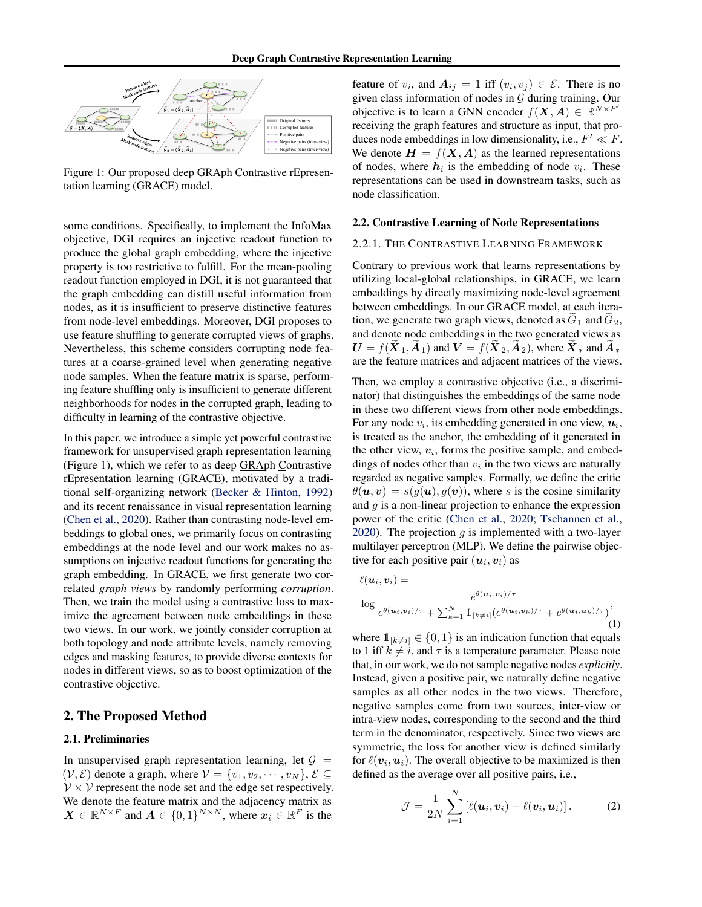<span id="page-1-0"></span>

Figure 1: Our proposed deep GRAph Contrastive rEpresentation learning (GRACE) model.

some conditions. Specifically, to implement the InfoMax objective, DGI requires an injective readout function to produce the global graph embedding, where the injective property is too restrictive to fulfill. For the mean-pooling readout function employed in DGI, it is not guaranteed that the graph embedding can distill useful information from nodes, as it is insufficient to preserve distinctive features from node-level embeddings. Moreover, DGI proposes to use feature shuffling to generate corrupted views of graphs. Nevertheless, this scheme considers corrupting node features at a coarse-grained level when generating negative node samples. When the feature matrix is sparse, performing feature shuffling only is insufficient to generate different neighborhoods for nodes in the corrupted graph, leading to difficulty in learning of the contrastive objective.

In this paper, we introduce a simple yet powerful contrastive framework for unsupervised graph representation learning (Figure 1), which we refer to as deep GRAph Contrastive rEpresentation learning (GRACE), motivated by a traditional self-organizing network [\(Becker & Hinton,](#page-8-0) [1992\)](#page-8-0) and its recent renaissance in visual representation learning [\(Chen et al.,](#page-8-0) [2020\)](#page-8-0). Rather than contrasting node-level embeddings to global ones, we primarily focus on contrasting embeddings at the node level and our work makes no assumptions on injective readout functions for generating the graph embedding. In GRACE, we first generate two correlated *graph views* by randomly performing *corruption*. Then, we train the model using a contrastive loss to maximize the agreement between node embeddings in these two views. In our work, we jointly consider corruption at both topology and node attribute levels, namely removing edges and masking features, to provide diverse contexts for nodes in different views, so as to boost optimization of the contrastive objective.

### 2. The Proposed Method

#### 2.1. Preliminaries

In unsupervised graph representation learning, let  $G =$  $(V, \mathcal{E})$  denote a graph, where  $V = \{v_1, v_2, \cdots, v_N\}, \mathcal{E} \subseteq$  $V \times V$  represent the node set and the edge set respectively. We denote the feature matrix and the adjacency matrix as  $\mathbf{X} \in \mathbb{R}^{N \times F}$  and  $\mathbf{A} \in \{0,1\}^{N \times N}$ , where  $\mathbf{x}_i \in \mathbb{R}^F$  is the

feature of  $v_i$ , and  $A_{ij} = 1$  iff  $(v_i, v_j) \in \mathcal{E}$ . There is no given class information of nodes in  $G$  during training. Our objective is to learn a GNN encoder  $f(\mathbf{X}, \mathbf{A}) \in \mathbb{R}^{N \times F}$ receiving the graph features and structure as input, that produces node embeddings in low dimensionality, i.e.,  $F' \ll F$ . We denote  $H = f(X, A)$  as the learned representations of nodes, where  $h_i$  is the embedding of node  $v_i$ . These representations can be used in downstream tasks, such as node classification.

#### 2.2. Contrastive Learning of Node Representations

#### 2.2.1. THE CONTRASTIVE LEARNING FRAMEWORK

Contrary to previous work that learns representations by utilizing local-global relationships, in GRACE, we learn embeddings by directly maximizing node-level agreement between embeddings. In our GRACE model, at each iteration, we generate two graph views, denoted as  $\tilde{G}_1$  and  $\tilde{G}_2$ , and denote node embeddings in the two generated views as  $U = f(\overline{X}_1, \overline{A}_1)$  and  $V = f(\overline{X}_2, \overline{A}_2)$ , where  $\overline{X}_*$  and  $\overline{A}_*$ are the feature matrices and adjacent matrices of the views.

Then, we employ a contrastive objective (i.e., a discriminator) that distinguishes the embeddings of the same node in these two different views from other node embeddings. For any node  $v_i$ , its embedding generated in one view,  $u_i$ , is treated as the anchor, the embedding of it generated in the other view,  $v_i$ , forms the positive sample, and embeddings of nodes other than  $v_i$  in the two views are naturally regarded as negative samples. Formally, we define the critic  $\theta(\mathbf{u}, \mathbf{v}) = s(g(\mathbf{u}), g(\mathbf{v}))$ , where s is the cosine similarity and  $q$  is a non-linear projection to enhance the expression power of the critic [\(Chen et al.,](#page-8-0) [2020;](#page-8-0) [Tschannen et al.,](#page-8-0) [2020\)](#page-8-0). The projection  $q$  is implemented with a two-layer multilayer perceptron (MLP). We define the pairwise objective for each positive pair  $(\boldsymbol{u}_i, \boldsymbol{v}_i)$  as

$$
\ell(\boldsymbol{u}_i, \boldsymbol{v}_i) =
$$

$$
\log \frac{e^{\theta(\boldsymbol{u}_i, \boldsymbol{v}_i)/\tau}}{e^{\theta(\boldsymbol{u}_i, \boldsymbol{v}_i)/\tau} + \sum_{k=1}^N \mathbb{1}_{[k \neq i]} (e^{\theta(\boldsymbol{u}_i, \boldsymbol{v}_k)/\tau} + e^{\theta(\boldsymbol{u}_i, \boldsymbol{u}_k)/\tau})},
$$
(1)

where  $\mathbb{1}_{[k\neq i]}\in\{0,1\}$  is an indication function that equals to 1 iff  $k \neq i$ , and  $\tau$  is a temperature parameter. Please note that, in our work, we do not sample negative nodes *explicitly*. Instead, given a positive pair, we naturally define negative samples as all other nodes in the two views. Therefore, negative samples come from two sources, inter-view or intra-view nodes, corresponding to the second and the third term in the denominator, respectively. Since two views are symmetric, the loss for another view is defined similarly for  $\ell(\boldsymbol{v}_i, \boldsymbol{u}_i)$ . The overall objective to be maximized is then defined as the average over all positive pairs, i.e.,

$$
\mathcal{J} = \frac{1}{2N} \sum_{i=1}^{N} \left[ \ell(\boldsymbol{u}_i, \boldsymbol{v}_i) + \ell(\boldsymbol{v}_i, \boldsymbol{u}_i) \right]. \tag{2}
$$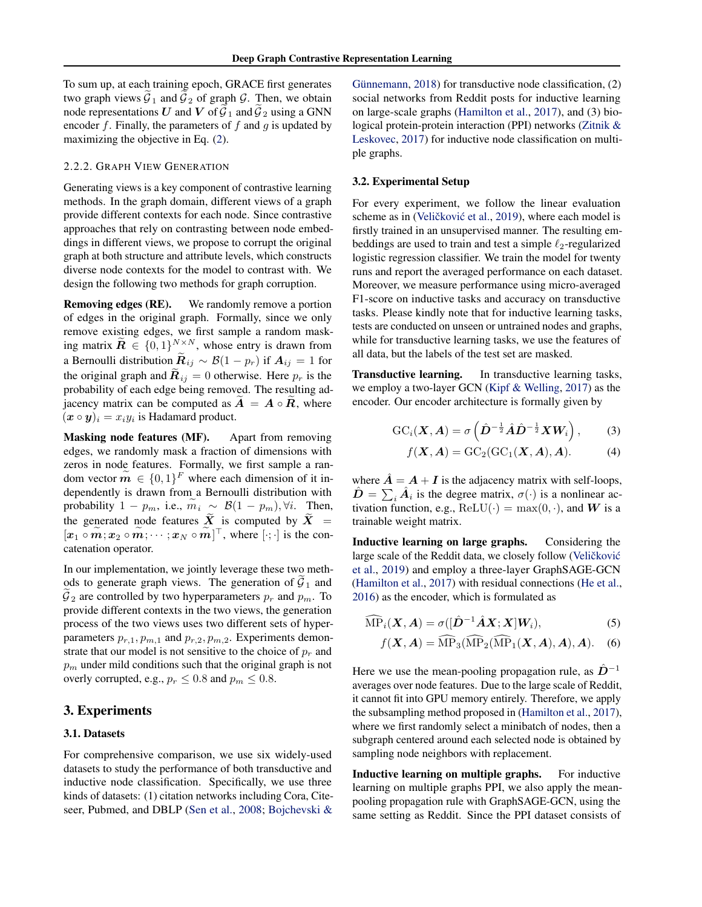To sum up, at each training epoch, GRACE first generates two graph views  $G_1$  and  $G_2$  of graph  $G$ . Then, we obtain node representations U and V of  $\mathcal{G}_1$  and  $\mathcal{G}_2$  using a GNN encoder  $f$ . Finally, the parameters of  $f$  and  $g$  is updated by maximizing the objective in Eq. [\(2\)](#page-1-0).

#### 2.2.2. GRAPH VIEW GENERATION

Generating views is a key component of contrastive learning methods. In the graph domain, different views of a graph provide different contexts for each node. Since contrastive approaches that rely on contrasting between node embeddings in different views, we propose to corrupt the original graph at both structure and attribute levels, which constructs diverse node contexts for the model to contrast with. We design the following two methods for graph corruption.

Removing edges (RE). We randomly remove a portion of edges in the original graph. Formally, since we only remove existing edges, we first sample a random masking matrix  $\widetilde{R} \in \{0,1\}^{N \times N}$ , whose entry is drawn from a Bernoulli distribution  $\mathbf{R}_{ij} \sim \mathcal{B}(1 - p_r)$  if  $\mathbf{A}_{ij} = 1$  for the original graph and  $\mathbf{R}_{ij} = 0$  otherwise. Here  $p_r$  is the probability of each edge being removed. The resulting adjacency matrix can be computed as  $A = A \circ R$ , where  $(\mathbf{x} \circ \mathbf{y})_i = x_i y_i$  is Hadamard product.

Masking node features (MF). Apart from removing edges, we randomly mask a fraction of dimensions with zeros in node features. Formally, we first sample a random vector  $\mathbf{m} \in \{0, 1\}^F$  where each dimension of it independently is drawn from a Bernoulli distribution with probability 1 −  $p_m$ , i.e.,  $m_i \sim \mathcal{B}(1 - p_m)$ ,  $\forall i$ . Then, the generated node features  $\overline{X}$  is computed by  $\overline{X}$  =  $[\boldsymbol{x}_1 \circ \boldsymbol{m}; \boldsymbol{x}_2 \circ \boldsymbol{m}; \cdots; \boldsymbol{x}_N \circ \boldsymbol{m}]^\top$ , where  $[\cdot; \cdot]$  is the concatenation operator.

In our implementation, we jointly leverage these two methods to generate graph views. The generation of  $\mathcal{G}_1$  and  $G_2$  are controlled by two hyperparameters  $p_r$  and  $p_m$ . To provide different contexts in the two views, the generation process of the two views uses two different sets of hyperparameters  $p_{r,1}, p_{m,1}$  and  $p_{r,2}, p_{m,2}$ . Experiments demonstrate that our model is not sensitive to the choice of  $p_r$  and  $p<sub>m</sub>$  under mild conditions such that the original graph is not overly corrupted, e.g.,  $p_r \leq 0.8$  and  $p_m \leq 0.8$ .

### 3. Experiments

#### 3.1. Datasets

For comprehensive comparison, we use six widely-used datasets to study the performance of both transductive and inductive node classification. Specifically, we use three kinds of datasets: (1) citation networks including Cora, Citeseer, Pubmed, and DBLP [\(Sen et al.,](#page-8-0) [2008;](#page-8-0) [Bojchevski &](#page-8-0)

Günnemann, [2018\)](#page-8-0) for transductive node classification,  $(2)$ social networks from Reddit posts for inductive learning on large-scale graphs [\(Hamilton et al.,](#page-8-0) [2017\)](#page-8-0), and (3) biological protein-protein interaction (PPI) networks [\(Zitnik &](#page-8-0) [Leskovec,](#page-8-0) [2017\)](#page-8-0) for inductive node classification on multiple graphs.

#### 3.2. Experimental Setup

For every experiment, we follow the linear evaluation scheme as in (Veličković et al., [2019\)](#page-8-0), where each model is firstly trained in an unsupervised manner. The resulting embeddings are used to train and test a simple  $\ell_2$ -regularized logistic regression classifier. We train the model for twenty runs and report the averaged performance on each dataset. Moreover, we measure performance using micro-averaged F1-score on inductive tasks and accuracy on transductive tasks. Please kindly note that for inductive learning tasks, tests are conducted on unseen or untrained nodes and graphs, while for transductive learning tasks, we use the features of all data, but the labels of the test set are masked.

Transductive learning. In transductive learning tasks, we employ a two-layer GCN [\(Kipf & Welling,](#page-8-0) [2017\)](#page-8-0) as the encoder. Our encoder architecture is formally given by

$$
\mathrm{GC}_i(\boldsymbol{X},\boldsymbol{A})=\sigma\left(\hat{\boldsymbol{D}}^{-\frac{1}{2}}\hat{\boldsymbol{A}}\hat{\boldsymbol{D}}^{-\frac{1}{2}}\boldsymbol{X}\boldsymbol{W}_i\right),\qquad(3)
$$

$$
f(\mathbf{X}, \mathbf{A}) = \mathrm{GC}_2(\mathrm{GC}_1(\mathbf{X}, \mathbf{A}), \mathbf{A}).
$$
 (4)

where  $\mathbf{A} = \mathbf{A} + \mathbf{I}$  is the adjacency matrix with self-loops,  $\hat{D} = \sum_i \hat{A}_i$  is the degree matrix,  $\sigma(\cdot)$  is a nonlinear activation function, e.g.,  $ReLU(·) = max(0, ·)$ , and W is a trainable weight matrix.

Inductive learning on large graphs. Considering the large scale of the Reddit data, we closely follow (Veličković [et al.,](#page-8-0) [2019\)](#page-8-0) and employ a three-layer GraphSAGE-GCN [\(Hamilton et al.,](#page-8-0) [2017\)](#page-8-0) with residual connections [\(He et al.,](#page-8-0) [2016\)](#page-8-0) as the encoder, which is formulated as

$$
\widehat{\text{MP}}_i(X, A) = \sigma([\hat{D}^{-1}\hat{A}X; X]W_i),\tag{5}
$$

$$
f(\mathbf{X}, \mathbf{A}) = \widehat{\text{MP}}_3(\widehat{\text{MP}}_2(\widehat{\text{MP}}_1(\mathbf{X}, \mathbf{A}), \mathbf{A}), \mathbf{A}).
$$
 (6)

Here we use the mean-pooling propagation rule, as  $\mathbf{D}^{-1}$ averages over node features. Due to the large scale of Reddit, it cannot fit into GPU memory entirely. Therefore, we apply the subsampling method proposed in [\(Hamilton et al.,](#page-8-0) [2017\)](#page-8-0), where we first randomly select a minibatch of nodes, then a subgraph centered around each selected node is obtained by sampling node neighbors with replacement.

Inductive learning on multiple graphs. For inductive learning on multiple graphs PPI, we also apply the meanpooling propagation rule with GraphSAGE-GCN, using the same setting as Reddit. Since the PPI dataset consists of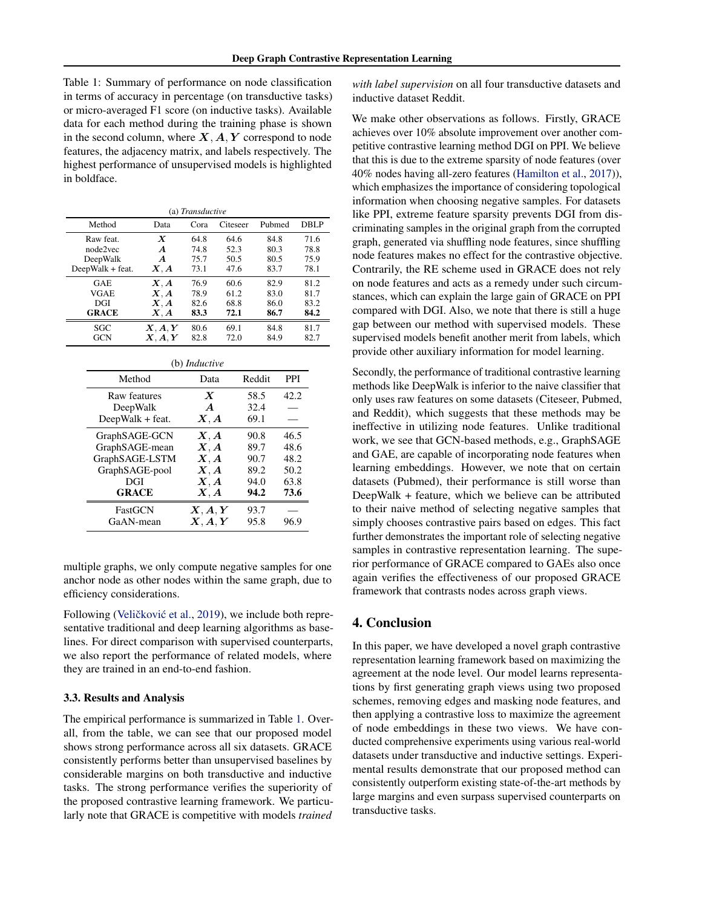Table 1: Summary of performance on node classification in terms of accuracy in percentage (on transductive tasks) or micro-averaged F1 score (on inductive tasks). Available data for each method during the training phase is shown in the second column, where  $X, A, Y$  correspond to node features, the adjacency matrix, and labels respectively. The highest performance of unsupervised models is highlighted in boldface.

| (a) Transductive |                                 |                      |          |        |             |  |
|------------------|---------------------------------|----------------------|----------|--------|-------------|--|
| Method           | Data                            | Cora                 | Citeseer | Pubmed | <b>DBLP</b> |  |
| Raw feat.        | $\boldsymbol{X}$                | 64.8                 | 64.6     | 84.8   | 71.6        |  |
| node2vec         | $\boldsymbol{A}$                | 74.8                 | 52.3     | 80.3   | 78.8        |  |
| DeepWalk         | A                               | 75.7                 | 50.5     | 80.5   | 75.9        |  |
| DeepWalk + feat. | $\boldsymbol{X},\boldsymbol{A}$ | 73.1                 | 47.6     | 83.7   | 78.1        |  |
| GAE              | X, A                            | 76.9                 | 60.6     | 82.9   | 81.2        |  |
| VGAE             | X, A                            | 78.9                 | 61.2     | 83.0   | 81.7        |  |
| DGI              | X, A                            | 82.6                 | 68.8     | 86.0   | 83.2        |  |
| <b>GRACE</b>     | X, A                            | 83.3                 | 72.1     | 86.7   | 84.2        |  |
| SGC              | X, A, Y                         | 80.6                 | 69.1     | 84.8   | 81.7        |  |
| <b>GCN</b>       | X, A, Y                         | 82.8                 | 72.0     | 84.9   | 82.7        |  |
|                  |                                 | (b) <i>Inductive</i> |          |        |             |  |

| ( <i>v</i> ) <i>inductive</i> |                                                  |        |            |  |  |
|-------------------------------|--------------------------------------------------|--------|------------|--|--|
| Method                        | Data                                             | Reddit | <b>PPI</b> |  |  |
| Raw features                  | $\boldsymbol{X}$                                 | 58.5   | 42.2       |  |  |
| DeepWalk                      | $\boldsymbol{A}$                                 | 32.4   |            |  |  |
| DeepWalk + feat.              | $\boldsymbol{X}, \boldsymbol{A}$                 | 69.1   |            |  |  |
| GraphSAGE-GCN                 | X, A                                             | 90.8   | 46.5       |  |  |
| GraphSAGE-mean                | X, A                                             | 89.7   | 48.6       |  |  |
| GraphSAGE-LSTM                | X, A                                             | 90.7   | 48.2       |  |  |
| GraphSAGE-pool                | $\boldsymbol{X}, \boldsymbol{A}$                 | 89.2   | 50.2       |  |  |
| DGI                           | $\boldsymbol{X}, \boldsymbol{A}$                 | 94.0   | 63.8       |  |  |
| <b>GRACE</b>                  | $\boldsymbol{X}, \boldsymbol{A}$                 | 94.2   | 73.6       |  |  |
| FastGCN                       | $\boldsymbol{X}, \boldsymbol{A}, \boldsymbol{Y}$ | 93.7   |            |  |  |
| GaAN-mean                     | X, A, Y                                          | 95.8   | 96.9       |  |  |
|                               |                                                  |        |            |  |  |

multiple graphs, we only compute negative samples for one anchor node as other nodes within the same graph, due to efficiency considerations.

Following (Veličković et al., [2019\)](#page-8-0), we include both representative traditional and deep learning algorithms as baselines. For direct comparison with supervised counterparts, we also report the performance of related models, where they are trained in an end-to-end fashion.

#### 3.3. Results and Analysis

The empirical performance is summarized in Table 1. Overall, from the table, we can see that our proposed model shows strong performance across all six datasets. GRACE consistently performs better than unsupervised baselines by considerable margins on both transductive and inductive tasks. The strong performance verifies the superiority of the proposed contrastive learning framework. We particularly note that GRACE is competitive with models *trained*

*with label supervision* on all four transductive datasets and inductive dataset Reddit.

We make other observations as follows. Firstly, GRACE achieves over 10% absolute improvement over another competitive contrastive learning method DGI on PPI. We believe that this is due to the extreme sparsity of node features (over 40% nodes having all-zero features [\(Hamilton et al.,](#page-8-0) [2017\)](#page-8-0)), which emphasizes the importance of considering topological information when choosing negative samples. For datasets like PPI, extreme feature sparsity prevents DGI from discriminating samples in the original graph from the corrupted graph, generated via shuffling node features, since shuffling node features makes no effect for the contrastive objective. Contrarily, the RE scheme used in GRACE does not rely on node features and acts as a remedy under such circumstances, which can explain the large gain of GRACE on PPI compared with DGI. Also, we note that there is still a huge gap between our method with supervised models. These supervised models benefit another merit from labels, which provide other auxiliary information for model learning.

Secondly, the performance of traditional contrastive learning methods like DeepWalk is inferior to the naive classifier that only uses raw features on some datasets (Citeseer, Pubmed, and Reddit), which suggests that these methods may be ineffective in utilizing node features. Unlike traditional work, we see that GCN-based methods, e.g., GraphSAGE and GAE, are capable of incorporating node features when learning embeddings. However, we note that on certain datasets (Pubmed), their performance is still worse than DeepWalk + feature, which we believe can be attributed to their naive method of selecting negative samples that simply chooses contrastive pairs based on edges. This fact further demonstrates the important role of selecting negative samples in contrastive representation learning. The superior performance of GRACE compared to GAEs also once again verifies the effectiveness of our proposed GRACE framework that contrasts nodes across graph views.

## 4. Conclusion

In this paper, we have developed a novel graph contrastive representation learning framework based on maximizing the agreement at the node level. Our model learns representations by first generating graph views using two proposed schemes, removing edges and masking node features, and then applying a contrastive loss to maximize the agreement of node embeddings in these two views. We have conducted comprehensive experiments using various real-world datasets under transductive and inductive settings. Experimental results demonstrate that our proposed method can consistently outperform existing state-of-the-art methods by large margins and even surpass supervised counterparts on transductive tasks.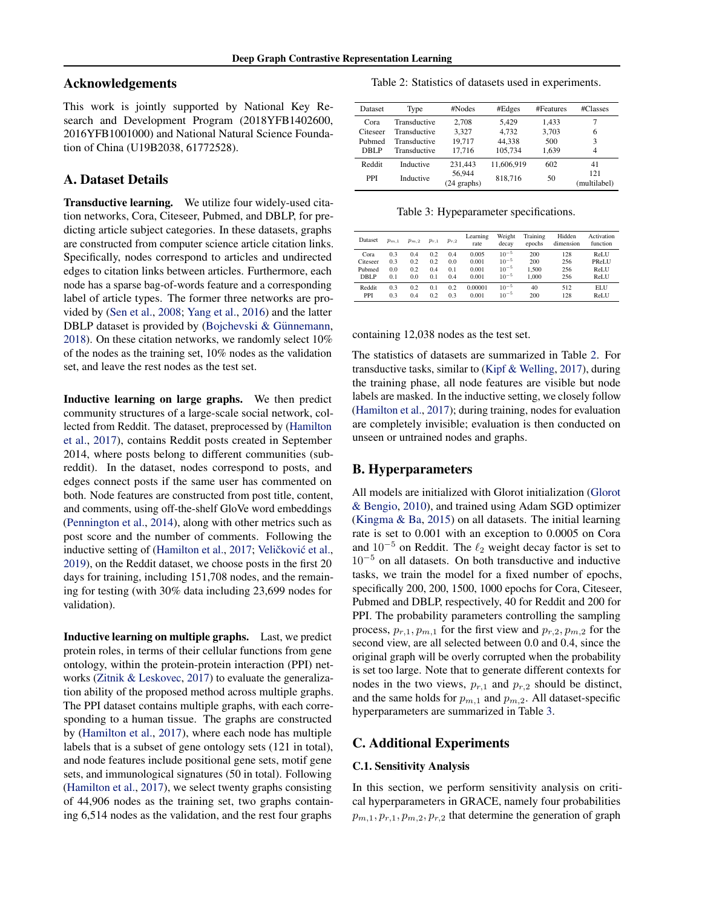### Acknowledgements

This work is jointly supported by National Key Research and Development Program (2018YFB1402600, 2016YFB1001000) and National Natural Science Foundation of China (U19B2038, 61772528).

# A. Dataset Details

Transductive learning. We utilize four widely-used citation networks, Cora, Citeseer, Pubmed, and DBLP, for predicting article subject categories. In these datasets, graphs are constructed from computer science article citation links. Specifically, nodes correspond to articles and undirected edges to citation links between articles. Furthermore, each node has a sparse bag-of-words feature and a corresponding label of article types. The former three networks are provided by [\(Sen et al.,](#page-8-0) [2008;](#page-8-0) [Yang et al.,](#page-8-0) [2016\)](#page-8-0) and the latter DBLP dataset is provided by (Bojchevski  $&$  Günnemann, [2018\)](#page-8-0). On these citation networks, we randomly select 10% of the nodes as the training set, 10% nodes as the validation set, and leave the rest nodes as the test set.

Inductive learning on large graphs. We then predict community structures of a large-scale social network, collected from Reddit. The dataset, preprocessed by [\(Hamilton](#page-8-0) [et al.,](#page-8-0) [2017\)](#page-8-0), contains Reddit posts created in September 2014, where posts belong to different communities (subreddit). In the dataset, nodes correspond to posts, and edges connect posts if the same user has commented on both. Node features are constructed from post title, content, and comments, using off-the-shelf GloVe word embeddings [\(Pennington et al.,](#page-8-0) [2014\)](#page-8-0), along with other metrics such as post score and the number of comments. Following the inductive setting of [\(Hamilton et al.,](#page-8-0) [2017;](#page-8-0) Veličković et al., [2019\)](#page-8-0), on the Reddit dataset, we choose posts in the first 20 days for training, including 151,708 nodes, and the remaining for testing (with 30% data including 23,699 nodes for validation).

Inductive learning on multiple graphs. Last, we predict protein roles, in terms of their cellular functions from gene ontology, within the protein-protein interaction (PPI) networks [\(Zitnik & Leskovec,](#page-8-0) [2017\)](#page-8-0) to evaluate the generalization ability of the proposed method across multiple graphs. The PPI dataset contains multiple graphs, with each corresponding to a human tissue. The graphs are constructed by [\(Hamilton et al.,](#page-8-0) [2017\)](#page-8-0), where each node has multiple labels that is a subset of gene ontology sets (121 in total), and node features include positional gene sets, motif gene sets, and immunological signatures (50 in total). Following [\(Hamilton et al.,](#page-8-0) [2017\)](#page-8-0), we select twenty graphs consisting of 44,906 nodes as the training set, two graphs containing 6,514 nodes as the validation, and the rest four graphs

Table 2: Statistics of datasets used in experiments.

| Dataset    | Type         | #Nodes                | #Edges     | #Features | #Classes            |
|------------|--------------|-----------------------|------------|-----------|---------------------|
| Cora       | Transductive | 2.708                 | 5.429      | 1.433     | 7                   |
| Citeseer   | Transductive | 3.327                 | 4.732      | 3.703     | 6                   |
| Pubmed     | Transductive | 19.717                | 44.338     | 500       | 3                   |
| DBLP       | Transductive | 17.716                | 105.734    | 1.639     | $\overline{4}$      |
| Reddit     | Inductive    | 231.443               | 11.606.919 | 602       | 41                  |
| <b>PPI</b> | Inductive    | 56,944<br>(24 graphs) | 818,716    | 50        | 121<br>(multilabel) |

Table 3: Hypeparameter specifications.

| Dataset              | $p_{m,1}$  | $p_{m,2}$  | $p_{r,1}$  | $p_{r,2}$  | Learning<br>rate | Weight<br>decay        | Training<br>epochs | Hidden<br>dimension | Activation<br>function |
|----------------------|------------|------------|------------|------------|------------------|------------------------|--------------------|---------------------|------------------------|
| Cora                 | 0.3        | 0.4        | 0.2        | 0.4        | 0.005            | $10^{-5}$              | 200                | 128                 | ReLU                   |
| Citeseer             | 0.3        | 0.2        | 0.2        | 0.0        | 0.001            | $10^{-5}$              | 200                | 256                 | PReLU                  |
| Pubmed               | 0.0        | 0.2        | 0.4        | 0.1        | 0.001            | $10^{-5}$              | 1.500              | 256                 | ReLU                   |
| DBLP                 | 0.1        | 0.0        | 0.1        | 0.4        | 0.001            | $10^{-5}$              | 1.000              | 256                 | ReLU                   |
| Reddit<br><b>PPI</b> | 0.3<br>0.3 | 0.2<br>0.4 | 0.1<br>0.2 | 0.2<br>0.3 | 0.00001<br>0.001 | $10^{-5}$<br>$10^{-5}$ | 40<br>200          | 512<br>128          | ELU<br>ReLU            |

#### containing 12,038 nodes as the test set.

The statistics of datasets are summarized in Table 2. For transductive tasks, similar to [\(Kipf & Welling,](#page-8-0) [2017\)](#page-8-0), during the training phase, all node features are visible but node labels are masked. In the inductive setting, we closely follow [\(Hamilton et al.,](#page-8-0) [2017\)](#page-8-0); during training, nodes for evaluation are completely invisible; evaluation is then conducted on unseen or untrained nodes and graphs.

### B. Hyperparameters

All models are initialized with Glorot initialization [\(Glorot](#page-8-0) [& Bengio,](#page-8-0) [2010\)](#page-8-0), and trained using Adam SGD optimizer [\(Kingma & Ba,](#page-8-0) [2015\)](#page-8-0) on all datasets. The initial learning rate is set to 0.001 with an exception to 0.0005 on Cora and  $10^{-5}$  on Reddit. The  $\ell_2$  weight decay factor is set to  $10^{-5}$  on all datasets. On both transductive and inductive tasks, we train the model for a fixed number of epochs, specifically 200, 200, 1500, 1000 epochs for Cora, Citeseer, Pubmed and DBLP, respectively, 40 for Reddit and 200 for PPI. The probability parameters controlling the sampling process,  $p_{r,1}, p_{m,1}$  for the first view and  $p_{r,2}, p_{m,2}$  for the second view, are all selected between 0.0 and 0.4, since the original graph will be overly corrupted when the probability is set too large. Note that to generate different contexts for nodes in the two views,  $p_{r,1}$  and  $p_{r,2}$  should be distinct, and the same holds for  $p_{m,1}$  and  $p_{m,2}$ . All dataset-specific hyperparameters are summarized in Table 3.

### C. Additional Experiments

#### C.1. Sensitivity Analysis

In this section, we perform sensitivity analysis on critical hyperparameters in GRACE, namely four probabilities  $p_{m,1}, p_{r,1}, p_{m,2}, p_{r,2}$  that determine the generation of graph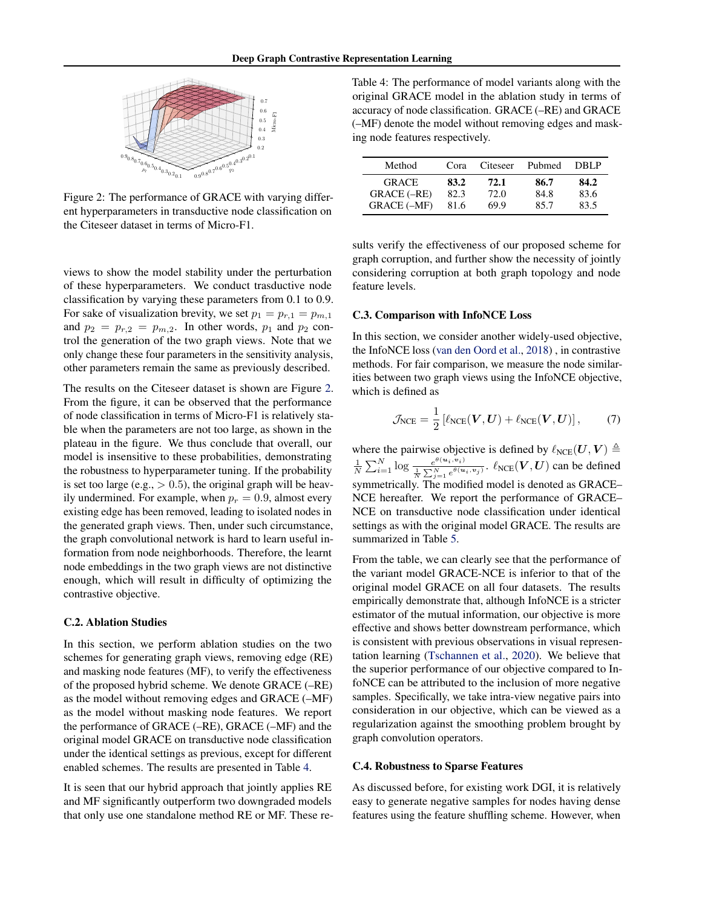<span id="page-5-0"></span>

Figure 2: The performance of GRACE with varying different hyperparameters in transductive node classification on the Citeseer dataset in terms of Micro-F1.

views to show the model stability under the perturbation of these hyperparameters. We conduct trasductive node classification by varying these parameters from 0.1 to 0.9. For sake of visualization brevity, we set  $p_1 = p_{r,1} = p_{m,1}$ and  $p_2 = p_{r,2} = p_{m,2}$ . In other words,  $p_1$  and  $p_2$  control the generation of the two graph views. Note that we only change these four parameters in the sensitivity analysis, other parameters remain the same as previously described.

The results on the Citeseer dataset is shown are Figure 2. From the figure, it can be observed that the performance of node classification in terms of Micro-F1 is relatively stable when the parameters are not too large, as shown in the plateau in the figure. We thus conclude that overall, our model is insensitive to these probabilities, demonstrating the robustness to hyperparameter tuning. If the probability is set too large (e.g.,  $> 0.5$ ), the original graph will be heavily undermined. For example, when  $p_r = 0.9$ , almost every existing edge has been removed, leading to isolated nodes in the generated graph views. Then, under such circumstance, the graph convolutional network is hard to learn useful information from node neighborhoods. Therefore, the learnt node embeddings in the two graph views are not distinctive enough, which will result in difficulty of optimizing the contrastive objective.

#### C.2. Ablation Studies

In this section, we perform ablation studies on the two schemes for generating graph views, removing edge (RE) and masking node features (MF), to verify the effectiveness of the proposed hybrid scheme. We denote GRACE (–RE) as the model without removing edges and GRACE (–MF) as the model without masking node features. We report the performance of GRACE (–RE), GRACE (–MF) and the original model GRACE on transductive node classification under the identical settings as previous, except for different enabled schemes. The results are presented in Table 4.

It is seen that our hybrid approach that jointly applies RE and MF significantly outperform two downgraded models that only use one standalone method RE or MF. These re-

Table 4: The performance of model variants along with the original GRACE model in the ablation study in terms of accuracy of node classification. GRACE (–RE) and GRACE (–MF) denote the model without removing edges and masking node features respectively.

| Method             | Cora | Citeseer | Pubmed | DBLP |
|--------------------|------|----------|--------|------|
| <b>GRACE</b>       | 83.2 | 72.1     | 86.7   | 84.2 |
| GRACE (-RE)        | 82.3 | 72.0     | 84.8   | 83.6 |
| <b>GRACE (-MF)</b> | 81.6 | 69.9     | 85.7   | 83.5 |

sults verify the effectiveness of our proposed scheme for graph corruption, and further show the necessity of jointly considering corruption at both graph topology and node feature levels.

### C.3. Comparison with InfoNCE Loss

In this section, we consider another widely-used objective, the InfoNCE loss [\(van den Oord et al.,](#page-8-0) [2018\)](#page-8-0) , in contrastive methods. For fair comparison, we measure the node similarities between two graph views using the InfoNCE objective, which is defined as

$$
\mathcal{J}_{NCE} = \frac{1}{2} \left[ \ell_{NCE}(\boldsymbol{V}, \boldsymbol{U}) + \ell_{NCE}(\boldsymbol{V}, \boldsymbol{U}) \right],\tag{7}
$$

where the pairwise objective is defined by  $\ell_{NCE}(U, V) \triangleq$  $\frac{1}{N} \sum_{i=1}^{N} \log \frac{e^{\theta(u_i, v_i)}}{\frac{1}{N} \sum_{i=1}^{N} e^{\theta(u_i)}}$  $\frac{e^{v(u_i,v_i)}}{\frac{1}{N}\sum_{j=1}^N e^{\theta(u_i,v_j)}}$ .  $\ell_{NCE}(V,U)$  can be defined symmetrically. The modified model is denoted as GRACE– NCE hereafter. We report the performance of GRACE– NCE on transductive node classification under identical settings as with the original model GRACE. The results are summarized in Table [5.](#page-6-0)

From the table, we can clearly see that the performance of the variant model GRACE-NCE is inferior to that of the original model GRACE on all four datasets. The results empirically demonstrate that, although InfoNCE is a stricter estimator of the mutual information, our objective is more effective and shows better downstream performance, which is consistent with previous observations in visual representation learning [\(Tschannen et al.,](#page-8-0) [2020\)](#page-8-0). We believe that the superior performance of our objective compared to InfoNCE can be attributed to the inclusion of more negative samples. Specifically, we take intra-view negative pairs into consideration in our objective, which can be viewed as a regularization against the smoothing problem brought by graph convolution operators.

#### C.4. Robustness to Sparse Features

As discussed before, for existing work DGI, it is relatively easy to generate negative samples for nodes having dense features using the feature shuffling scheme. However, when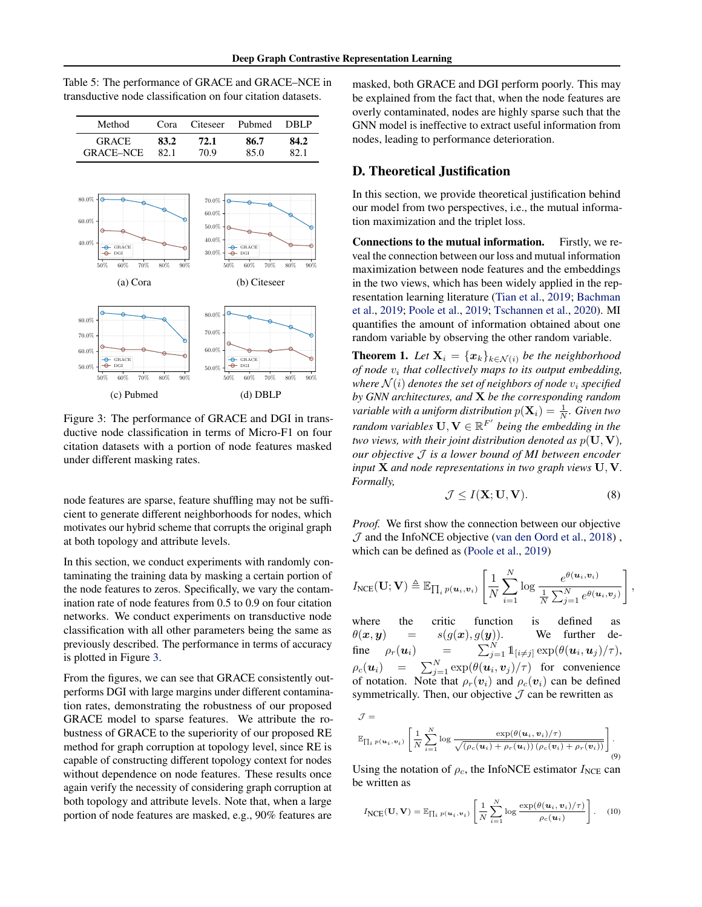<span id="page-6-0"></span>

| Table 5: The performance of GRACE and GRACE–NCE in          |  |
|-------------------------------------------------------------|--|
| transductive node classification on four citation datasets. |  |

| Method                                                                             | Cora                         | Citeseer                                                               | Pubmed                                 | <b>DBLP</b>  |  |
|------------------------------------------------------------------------------------|------------------------------|------------------------------------------------------------------------|----------------------------------------|--------------|--|
| <b>GRACE</b><br><b>GRACE-NCE</b>                                                   | 83.2<br>72.1<br>70.9<br>82.1 |                                                                        | 86.7<br>85.0                           | 84.2<br>82.1 |  |
| $80.0\%$<br>60.0%<br>40.0%<br>GRACE<br>DGI<br>70%<br>60%<br>50%<br>(a) Cora        | 80%                          | $70.0\%$<br>$60.0\%$<br>$50.0\%$<br>$40.0\%$<br>$30.0\%$<br>90%<br>50% | GRACE<br>$60\%$<br>70%<br>(b) Citeseer | 80%<br>90%   |  |
| $80.0\%$<br>$70.0\%$<br>60.0%<br>GRACE<br>50.0%<br>60%<br>70%<br>50%<br>(c) Pubmed | 80%                          | 80.0%<br>70.0%<br>60.0%<br>50.0%<br>90%<br>50%                         | GRACE<br>60%<br>70%<br>$(d)$ DBLP      | 80%<br>90%   |  |

Figure 3: The performance of GRACE and DGI in transductive node classification in terms of Micro-F1 on four citation datasets with a portion of node features masked under different masking rates.

node features are sparse, feature shuffling may not be sufficient to generate different neighborhoods for nodes, which motivates our hybrid scheme that corrupts the original graph at both topology and attribute levels.

In this section, we conduct experiments with randomly contaminating the training data by masking a certain portion of the node features to zeros. Specifically, we vary the contamination rate of node features from 0.5 to 0.9 on four citation networks. We conduct experiments on transductive node classification with all other parameters being the same as previously described. The performance in terms of accuracy is plotted in Figure 3.

From the figures, we can see that GRACE consistently outperforms DGI with large margins under different contamination rates, demonstrating the robustness of our proposed GRACE model to sparse features. We attribute the robustness of GRACE to the superiority of our proposed RE method for graph corruption at topology level, since RE is capable of constructing different topology context for nodes without dependence on node features. These results once again verify the necessity of considering graph corruption at both topology and attribute levels. Note that, when a large portion of node features are masked, e.g., 90% features are

masked, both GRACE and DGI perform poorly. This may be explained from the fact that, when the node features are overly contaminated, nodes are highly sparse such that the GNN model is ineffective to extract useful information from nodes, leading to performance deterioration.

### D. Theoretical Justification

In this section, we provide theoretical justification behind our model from two perspectives, i.e., the mutual information maximization and the triplet loss.

Connections to the mutual information. Firstly, we reveal the connection between our loss and mutual information maximization between node features and the embeddings in the two views, which has been widely applied in the representation learning literature [\(Tian et al.,](#page-8-0) [2019;](#page-8-0) [Bachman](#page-8-0) [et al.,](#page-8-0) [2019;](#page-8-0) [Poole et al.,](#page-8-0) [2019;](#page-8-0) [Tschannen et al.,](#page-8-0) [2020\)](#page-8-0). MI quantifies the amount of information obtained about one random variable by observing the other random variable.

**Theorem 1.** *Let*  $\mathbf{X}_i = {\mathbf{x}_k}_{k \in \mathcal{N}(i)}$  *be the neighborhood of node* v<sup>i</sup> *that collectively maps to its output embedding, where*  $N(i)$  *denotes the set of neighbors of node*  $v_i$  *specified by GNN architectures, and* X *be the corresponding random* variable with a uniform distribution  $p(\mathbf{X}_i) = \frac{1}{N}$ . Given two *random variables*  $\mathbf{U}, \mathbf{V} \in \mathbb{R}^{F'}$  *being the embedding in the two views, with their joint distribution denoted as*  $p(\mathbf{U}, \mathbf{V})$ *, our objective* J *is a lower bound of MI between encoder input* X *and node representations in two graph views* U, V*. Formally,*

$$
\mathcal{J} \le I(\mathbf{X}; \mathbf{U}, \mathbf{V}).\tag{8}
$$

*Proof.* We first show the connection between our objective  $J$  and the InfoNCE objective [\(van den Oord et al.,](#page-8-0) [2018\)](#page-8-0), which can be defined as [\(Poole et al.,](#page-8-0) [2019\)](#page-8-0)

$$
I_{\text{NCE}}(\mathbf{U}; \mathbf{V}) \triangleq \mathbb{E}_{\prod_i p(\boldsymbol{u}_i, \boldsymbol{v}_i)} \left[ \frac{1}{N} \sum_{i=1}^N \log \frac{e^{\theta(\boldsymbol{u}_i, \boldsymbol{v}_i)}}{\frac{1}{N} \sum_{j=1}^N e^{\theta(\boldsymbol{u}_i, \boldsymbol{v}_j)}} \right],
$$

where the critic function is defined as  $\theta(x, y)$  =  $s(g(x), g(y))$ . We further define  $\rho_r(\mathbf{u}_i)$  =  $_{j=1}^{N}\, 1\!\!1_{[i\neq j]}\exp(\theta(\boldsymbol{u}_{i},\boldsymbol{u}_{j})/\tau),$  $\rho_c(\boldsymbol{u}_i)$  =  $\sum_{j=1}^N \exp(\theta(\boldsymbol{u}_i, \boldsymbol{v}_j)/\tau)$  for convenience of notation. Note that  $\rho_r(\mathbf{v}_i)$  and  $\rho_c(\mathbf{v}_i)$  can be defined symmetrically. Then, our objective  $\mathcal J$  can be rewritten as

$$
\mathcal{J} = \mathbb{E}_{\prod_i p(\boldsymbol{u}_i, \boldsymbol{v}_i)} \left[ \frac{1}{N} \sum_{i=1}^N \log \frac{\exp(\theta(\boldsymbol{u}_i, \boldsymbol{v}_i)/\tau)}{\sqrt{\left(\rho_c(\boldsymbol{u}_i) + \rho_r(\boldsymbol{u}_i)\right) \left(\rho_c(\boldsymbol{v}_i) + \rho_r(\boldsymbol{v}_i)\right)}} \right].
$$
\n(9)

Using the notation of  $\rho_c$ , the InfoNCE estimator  $I_{NCE}$  can be written as

$$
I_{NCE}(\mathbf{U}, \mathbf{V}) = \mathbb{E}_{\prod_{i} p(\mathbf{u}_i, \mathbf{v}_i)} \left[ \frac{1}{N} \sum_{i=1}^{N} \log \frac{\exp(\theta(\mathbf{u}_i, \mathbf{v}_i)/\tau)}{\rho_c(\mathbf{u}_i)} \right].
$$
 (10)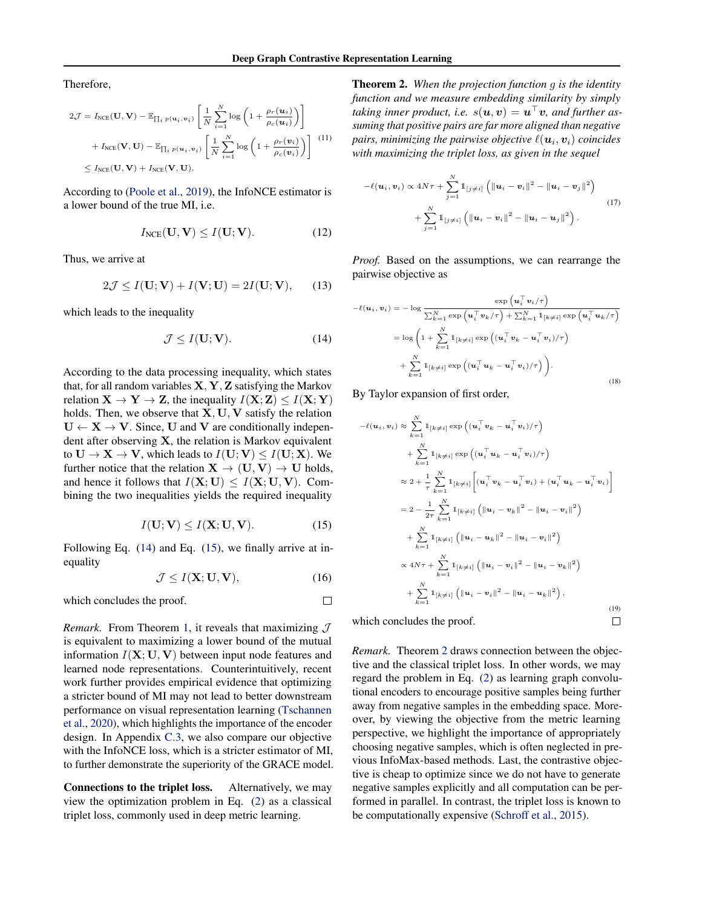Therefore,

$$
2\mathcal{J} = I_{\text{NCE}}(\mathbf{U}, \mathbf{V}) - \mathbb{E}_{\prod_{i} p(\mathbf{u}_{i}, \mathbf{v}_{i})} \left[ \frac{1}{N} \sum_{i=1}^{N} \log \left( 1 + \frac{\rho_{r}(\mathbf{u}_{i})}{\rho_{c}(\mathbf{u}_{i})} \right) \right]
$$

$$
+ I_{\text{NCE}}(\mathbf{V}, \mathbf{U}) - \mathbb{E}_{\prod_{i} p(\mathbf{u}_{i}, \mathbf{v}_{i})} \left[ \frac{1}{N} \sum_{i=1}^{N} \log \left( 1 + \frac{\rho_{r}(\mathbf{v}_{i})}{\rho_{c}(\mathbf{v}_{i})} \right) \right] \tag{11}
$$

$$
\leq I_{\text{NCE}}(\mathbf{U}, \mathbf{V}) + I_{\text{NCE}}(\mathbf{V}, \mathbf{U}).
$$

According to [\(Poole et al.,](#page-8-0) [2019\)](#page-8-0), the InfoNCE estimator is a lower bound of the true MI, i.e.

$$
I_{NCE}(\mathbf{U}, \mathbf{V}) \le I(\mathbf{U}; \mathbf{V}).
$$
 (12)

Thus, we arrive at

$$
2\mathcal{J} \le I(\mathbf{U}; \mathbf{V}) + I(\mathbf{V}; \mathbf{U}) = 2I(\mathbf{U}; \mathbf{V}), \qquad (13)
$$

which leads to the inequality

$$
\mathcal{J} \le I(\mathbf{U}; \mathbf{V}).\tag{14}
$$

According to the data processing inequality, which states that, for all random variables  $X, Y, Z$  satisfying the Markov relation  $X \to Y \to Z$ , the inequality  $I(X; Z) \leq I(X; Y)$ holds. Then, we observe that  $X, U, V$  satisfy the relation  $U \leftarrow X \rightarrow V$ . Since, U and V are conditionally independent after observing X, the relation is Markov equivalent to  $U \to X \to V$ , which leads to  $I(U;V) \leq I(U;X)$ . We further notice that the relation  $X \to (U, V) \to U$  holds, and hence it follows that  $I(X; U) \leq I(X; U, V)$ . Combining the two inequalities yields the required inequality

$$
I(\mathbf{U}; \mathbf{V}) \le I(\mathbf{X}; \mathbf{U}, \mathbf{V}).
$$
 (15)

Following Eq. (14) and Eq. (15), we finally arrive at inequality

$$
\mathcal{J} \le I(\mathbf{X}; \mathbf{U}, \mathbf{V}),\tag{16}
$$

 $\Box$ 

which concludes the proof.

*Remark.* From Theorem [1,](#page-6-0) it reveals that maximizing  $J$ is equivalent to maximizing a lower bound of the mutual information  $I(X; U, V)$  between input node features and learned node representations. Counterintuitively, recent work further provides empirical evidence that optimizing a stricter bound of MI may not lead to better downstream performance on visual representation learning [\(Tschannen](#page-8-0) [et al.,](#page-8-0) [2020\)](#page-8-0), which highlights the importance of the encoder design. In Appendix [C.3,](#page-5-0) we also compare our objective with the InfoNCE loss, which is a stricter estimator of MI, to further demonstrate the superiority of the GRACE model.

Connections to the triplet loss. Alternatively, we may view the optimization problem in Eq. [\(2\)](#page-1-0) as a classical triplet loss, commonly used in deep metric learning.

Theorem 2. *When the projection function* g *is the identity function and we measure embedding similarity by simply* taking inner product, i.e.  $s(\boldsymbol{u}, \boldsymbol{v}) = \boldsymbol{u}^\top \boldsymbol{v}$ , and further as*suming that positive pairs are far more aligned than negative* pairs, minimizing the pairwise objective  $\ell(\boldsymbol{u}_i, \boldsymbol{v}_i)$  coincides *with maximizing the triplet loss, as given in the sequel*

$$
-\ell(\boldsymbol{u}_i, \boldsymbol{v}_i) \propto 4N\tau + \sum_{j=1}^N \mathbb{1}_{[j \neq i]} \left( \|\boldsymbol{u}_i - \boldsymbol{v}_i\|^2 - \|\boldsymbol{u}_i - \boldsymbol{v}_j\|^2 \right) + \sum_{j=1}^N \mathbb{1}_{[j \neq i]} \left( \|\boldsymbol{u}_i - \boldsymbol{v}_i\|^2 - \|\boldsymbol{u}_i - \boldsymbol{u}_j\|^2 \right).
$$
 (17)

*Proof.* Based on the assumptions, we can rearrange the pairwise objective as

$$
-\ell(\mathbf{u}_i, \mathbf{v}_i) = -\log \frac{\exp (\mathbf{u}_i^\top \mathbf{v}_i / \tau)}{\sum_{k=1}^N \exp (\mathbf{u}_i^\top \mathbf{v}_k / \tau) + \sum_{k=1}^N \mathbb{1}_{[k \neq i]} \exp (\mathbf{u}_i^\top \mathbf{u}_k / \tau)}
$$

$$
= \log \left( 1 + \sum_{k=1}^N \mathbb{1}_{[k \neq i]} \exp \left( (\mathbf{u}_i^\top \mathbf{v}_k - \mathbf{u}_i^\top \mathbf{v}_i) / \tau \right) + \sum_{k=1}^N \mathbb{1}_{[k \neq i]} \exp \left( (\mathbf{u}_i^\top \mathbf{u}_k - \mathbf{u}_i^\top \mathbf{v}_i) / \tau \right) \right). \tag{18}
$$

By Taylor expansion of first order,

$$
-\ell(u_i, v_i) \approx \sum_{k=1}^{N} 1_{[k \neq i]} \exp\left((u_i^{\top} v_k - u_i^{\top} v_i)/\tau\right)
$$
  
+ 
$$
\sum_{k=1}^{N} 1_{[k \neq i]} \exp\left((u_i^{\top} u_k - u_i^{\top} v_i)/\tau\right)
$$
  

$$
\approx 2 + \frac{1}{\tau} \sum_{k=1}^{N} 1_{[k \neq i]} \left[(u_i^{\top} v_k - u_i^{\top} v_i) + (u_i^{\top} u_k - u_i^{\top} v_i)\right]
$$
  
= 
$$
2 - \frac{1}{2\tau} \sum_{k=1}^{N} 1_{[k \neq i]} \left(\|u_i - v_k\|^2 - \|u_i - v_i\|^2\right)
$$
  
+ 
$$
\sum_{k=1}^{N} 1_{[k \neq i]} \left(\|u_i - u_k\|^2 - \|u_i - v_i\|^2\right)
$$
  

$$
\propto 4N\tau + \sum_{k=1}^{N} 1_{[k \neq i]} \left(\|u_i - v_i\|^2 - \|u_i - v_k\|^2\right)
$$
  
+ 
$$
\sum_{k=1}^{N} 1_{[k \neq i]} \left(\|u_i - v_i\|^2 - \|u_i - u_k\|^2\right),
$$
  
which concludes the proof.

which concludes the proof.

*Remark.* Theorem 2 draws connection between the objective and the classical triplet loss. In other words, we may regard the problem in Eq. [\(2\)](#page-1-0) as learning graph convolutional encoders to encourage positive samples being further away from negative samples in the embedding space. Moreover, by viewing the objective from the metric learning perspective, we highlight the importance of appropriately choosing negative samples, which is often neglected in previous InfoMax-based methods. Last, the contrastive objective is cheap to optimize since we do not have to generate negative samples explicitly and all computation can be performed in parallel. In contrast, the triplet loss is known to be computationally expensive [\(Schroff et al.,](#page-8-0) [2015\)](#page-8-0).